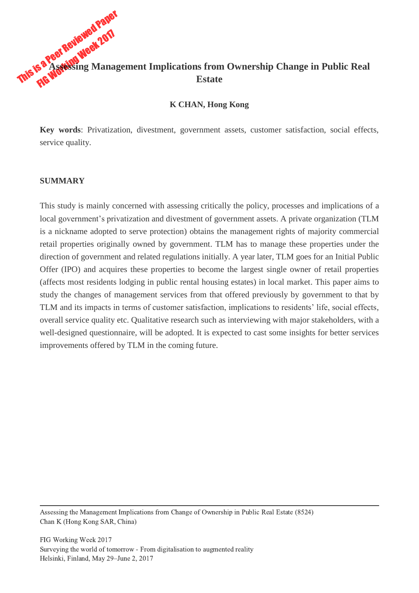# This is a Peer Reviewed Paper<br>This is a Peer Reviewed 2017 **Assessing Management Implications from Ownership Change in Public Real Estate**

#### **K CHAN, Hong Kong**

**Key words**: Privatization, divestment, government assets, customer satisfaction, social effects, service quality.

#### **SUMMARY**

This study is mainly concerned with assessing critically the policy, processes and implications of a local government's privatization and divestment of government assets. A private organization (TLM is a nickname adopted to serve protection) obtains the management rights of majority commercial retail properties originally owned by government. TLM has to manage these properties under the direction of government and related regulations initially. A year later, TLM goes for an Initial Public Offer (IPO) and acquires these properties to become the largest single owner of retail properties (affects most residents lodging in public rental housing estates) in local market. This paper aims to study the changes of management services from that offered previously by government to that by TLM and its impacts in terms of customer satisfaction, implications to residents' life, social effects, overall service quality etc. Qualitative research such as interviewing with major stakeholders, with a well-designed questionnaire, will be adopted. It is expected to cast some insights for better services improvements offered by TLM in the coming future.

Assessing the Management Implications from Change of Ownership in Public Real Estate (8524) Chan K (Hong Kong SAR, China)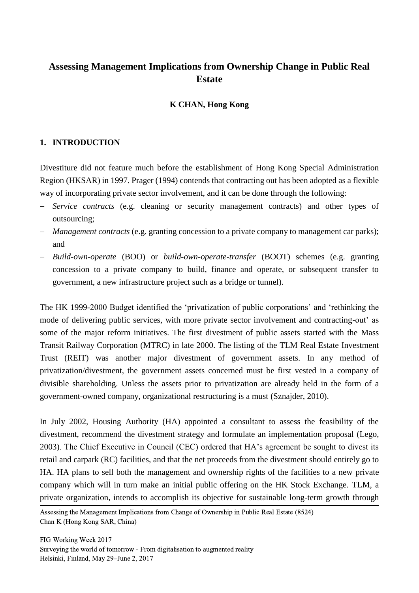## **Assessing Management Implications from Ownership Change in Public Real Estate**

## **K CHAN, Hong Kong**

#### **1. INTRODUCTION**

Divestiture did not feature much before the establishment of Hong Kong Special Administration Region (HKSAR) in 1997. Prager (1994) contends that contracting out has been adopted as a flexible way of incorporating private sector involvement, and it can be done through the following:

- *Service contracts* (e.g. cleaning or security management contracts) and other types of outsourcing;
- *Management contracts* (e.g. granting concession to a private company to management car parks); and
- *Build-own-operate* (BOO) or *build-own-operate-transfer* (BOOT) schemes (e.g. granting concession to a private company to build, finance and operate, or subsequent transfer to government, a new infrastructure project such as a bridge or tunnel).

The HK 1999-2000 Budget identified the 'privatization of public corporations' and 'rethinking the mode of delivering public services, with more private sector involvement and contracting-out' as some of the major reform initiatives. The first divestment of public assets started with the Mass Transit Railway Corporation (MTRC) in late 2000. The listing of the TLM Real Estate Investment Trust (REIT) was another major divestment of government assets. In any method of privatization/divestment, the government assets concerned must be first vested in a company of divisible shareholding. Unless the assets prior to privatization are already held in the form of a government-owned company, organizational restructuring is a must (Sznajder, 2010).

In July 2002, Housing Authority (HA) appointed a consultant to assess the feasibility of the divestment, recommend the divestment strategy and formulate an implementation proposal (Lego, 2003). The Chief Executive in Council (CEC) ordered that HA's agreement be sought to divest its retail and carpark (RC) facilities, and that the net proceeds from the divestment should entirely go to HA. HA plans to sell both the management and ownership rights of the facilities to a new private company which will in turn make an initial public offering on the HK Stock Exchange. TLM, a private organization, intends to accomplish its objective for sustainable long-term growth through

 Assessing the Management Implications from Change of Ownership in Public Real Estate (8524) Chan K (Hong Kong SAR, China)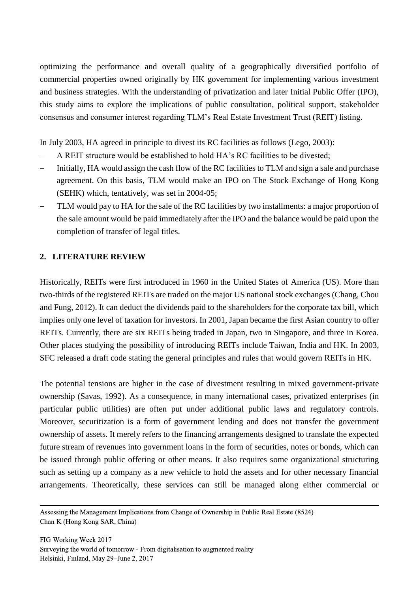optimizing the performance and overall quality of a geographically diversified portfolio of commercial properties owned originally by HK government for implementing various investment and business strategies. With the understanding of privatization and later Initial Public Offer (IPO), this study aims to explore the implications of public consultation, political support, stakeholder consensus and consumer interest regarding TLM's Real Estate Investment Trust (REIT) listing.

In July 2003, HA agreed in principle to divest its RC facilities as follows (Lego, 2003):

- A REIT structure would be established to hold HA's RC facilities to be divested;
- Initially, HA would assign the cash flow of the RC facilities to TLM and sign a sale and purchase agreement. On this basis, TLM would make an IPO on The Stock Exchange of Hong Kong (SEHK) which, tentatively, was set in 2004-05;
- TLM would pay to HA for the sale of the RC facilities by two installments: a major proportion of the sale amount would be paid immediately after the IPO and the balance would be paid upon the completion of transfer of legal titles.

#### **2. LITERATURE REVIEW**

Historically, REITs were first introduced in 1960 in the United States of America (US). More than two-thirds of the registered REITs are traded on the major US national stock exchanges (Chang, Chou and Fung, 2012). It can deduct the dividends paid to the shareholders for the corporate tax bill, which implies only one level of taxation for investors. In 2001, Japan became the first Asian country to offer REITs. Currently, there are six REITs being traded in Japan, two in Singapore, and three in Korea. Other places studying the possibility of introducing REITs include Taiwan, India and HK. In 2003, SFC released a draft code stating the general principles and rules that would govern REITs in HK.

The potential tensions are higher in the case of divestment resulting in mixed government-private ownership (Savas, 1992). As a consequence, in many international cases, privatized enterprises (in particular public utilities) are often put under additional public laws and regulatory controls. Moreover, securitization is a form of government lending and does not transfer the government ownership of assets. It merely refers to the financing arrangements designed to translate the expected future stream of revenues into government loans in the form of securities, notes or bonds, which can be issued through public offering or other means. It also requires some organizational structuring such as setting up a company as a new vehicle to hold the assets and for other necessary financial arrangements. Theoretically, these services can still be managed along either commercial or

 Assessing the Management Implications from Change of Ownership in Public Real Estate (8524) Chan K (Hong Kong SAR, China)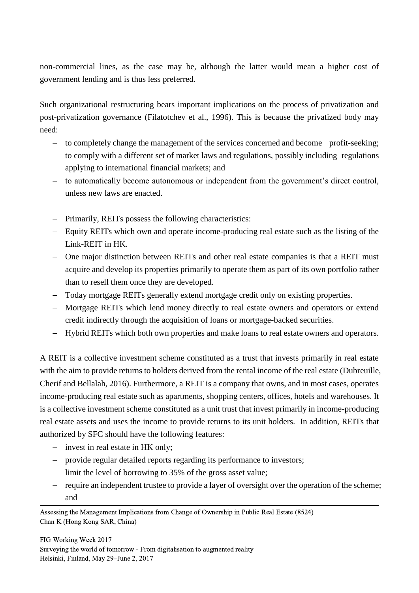non-commercial lines, as the case may be, although the latter would mean a higher cost of government lending and is thus less preferred.

Such organizational restructuring bears important implications on the process of privatization and post-privatization governance (Filatotchev et al., 1996). This is because the privatized body may need:

- to completely change the management of the services concerned and become profit-seeking;
- to comply with a different set of market laws and regulations, possibly including regulations applying to international financial markets; and
- to automatically become autonomous or independent from the government's direct control, unless new laws are enacted.
- Primarily, REITs possess the following characteristics:
- Equity REITs which own and operate income-producing real estate such as the listing of the Link-REIT in HK.
- One major distinction between REITs and other real estate companies is that a REIT must acquire and develop its properties primarily to operate them as part of its own portfolio rather than to resell them once they are developed.
- Today mortgage REITs generally extend mortgage credit only on existing properties.
- Mortgage REITs which lend money directly to real estate owners and operators or extend credit indirectly through the acquisition of loans or mortgage-backed securities.
- Hybrid REITs which both own properties and make loans to real estate owners and operators.

A REIT is a collective investment scheme constituted as a trust that invests primarily in real estate with the aim to provide returns to holders derived from the rental income of the real estate (Dubreuille, Cherif and Bellalah, 2016). Furthermore, a REIT is a company that owns, and in most cases, operates income-producing real estate such as apartments, shopping centers, offices, hotels and warehouses. It is a collective investment scheme constituted as a unit trust that invest primarily in income-producing real estate assets and uses the income to provide returns to its unit holders. In addition, REITs that authorized by SFC should have the following features:

- invest in real estate in HK only;
- provide regular detailed reports regarding its performance to investors;
- $\frac{1}{2}$  limit the level of borrowing to 35% of the gross asset value;
- require an independent trustee to provide a layer of oversight over the operation of the scheme; and

 Assessing the Management Implications from Change of Ownership in Public Real Estate (8524) Chan K (Hong Kong SAR, China)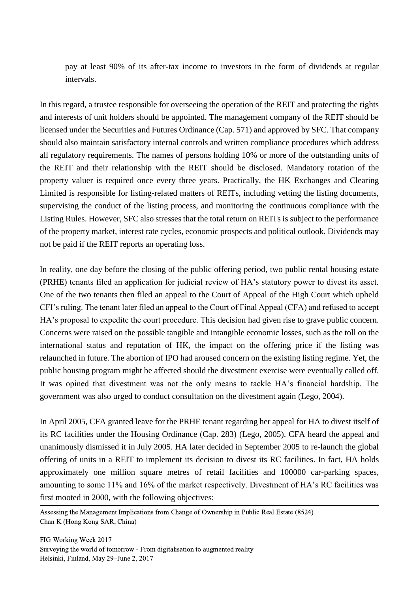pay at least 90% of its after-tax income to investors in the form of dividends at regular intervals.

In this regard, a trustee responsible for overseeing the operation of the REIT and protecting the rights and interests of unit holders should be appointed. The management company of the REIT should be licensed under the Securities and Futures Ordinance (Cap. 571) and approved by SFC. That company should also maintain satisfactory internal controls and written compliance procedures which address all regulatory requirements. The names of persons holding 10% or more of the outstanding units of the REIT and their relationship with the REIT should be disclosed. Mandatory rotation of the property valuer is required once every three years. Practically, the HK Exchanges and Clearing Limited is responsible for listing-related matters of REITs, including vetting the listing documents, supervising the conduct of the listing process, and monitoring the continuous compliance with the Listing Rules. However, SFC also stresses that the total return on REITs is subject to the performance of the property market, interest rate cycles, economic prospects and political outlook. Dividends may not be paid if the REIT reports an operating loss.

In reality, one day before the closing of the public offering period, two public rental housing estate (PRHE) tenants filed an application for judicial review of HA's statutory power to divest its asset. One of the two tenants then filed an appeal to the Court of Appeal of the High Court which upheld CFI's ruling. The tenant later filed an appeal to the Court of Final Appeal (CFA) and refused to accept HA's proposal to expedite the court procedure. This decision had given rise to grave public concern. Concerns were raised on the possible tangible and intangible economic losses, such as the toll on the international status and reputation of HK, the impact on the offering price if the listing was relaunched in future. The abortion of IPO had aroused concern on the existing listing regime. Yet, the public housing program might be affected should the divestment exercise were eventually called off. It was opined that divestment was not the only means to tackle HA's financial hardship. The government was also urged to conduct consultation on the divestment again (Lego, 2004).

In April 2005, CFA granted leave for the PRHE tenant regarding her appeal for HA to divest itself of its RC facilities under the Housing Ordinance (Cap. 283) (Lego, 2005). CFA heard the appeal and unanimously dismissed it in July 2005. HA later decided in September 2005 to re-launch the global offering of units in a REIT to implement its decision to divest its RC facilities. In fact, HA holds approximately one million square metres of retail facilities and 100000 car-parking spaces, amounting to some 11% and 16% of the market respectively. Divestment of HA's RC facilities was first mooted in 2000, with the following objectives:

 Assessing the Management Implications from Change of Ownership in Public Real Estate (8524) Chan K (Hong Kong SAR, China)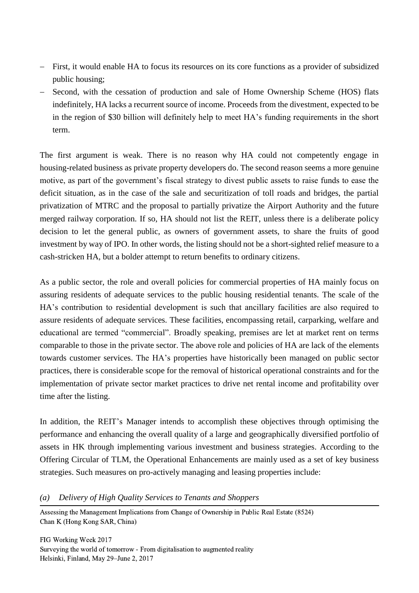- First, it would enable HA to focus its resources on its core functions as a provider of subsidized public housing;
- Second, with the cessation of production and sale of Home Ownership Scheme (HOS) flats indefinitely, HA lacks a recurrent source of income. Proceeds from the divestment, expected to be in the region of \$30 billion will definitely help to meet HA's funding requirements in the short term.

The first argument is weak. There is no reason why HA could not competently engage in housing-related business as private property developers do. The second reason seems a more genuine motive, as part of the government's fiscal strategy to divest public assets to raise funds to ease the deficit situation, as in the case of the sale and securitization of toll roads and bridges, the partial privatization of MTRC and the proposal to partially privatize the Airport Authority and the future merged railway corporation. If so, HA should not list the REIT, unless there is a deliberate policy decision to let the general public, as owners of government assets, to share the fruits of good investment by way of IPO. In other words, the listing should not be a short-sighted relief measure to a cash-stricken HA, but a bolder attempt to return benefits to ordinary citizens.

As a public sector, the role and overall policies for commercial properties of HA mainly focus on assuring residents of adequate services to the public housing residential tenants. The scale of the HA's contribution to residential development is such that ancillary facilities are also required to assure residents of adequate services. These facilities, encompassing retail, carparking, welfare and educational are termed "commercial". Broadly speaking, premises are let at market rent on terms comparable to those in the private sector. The above role and policies of HA are lack of the elements towards customer services. The HA's properties have historically been managed on public sector practices, there is considerable scope for the removal of historical operational constraints and for the implementation of private sector market practices to drive net rental income and profitability over time after the listing.

In addition, the REIT's Manager intends to accomplish these objectives through optimising the performance and enhancing the overall quality of a large and geographically diversified portfolio of assets in HK through implementing various investment and business strategies. According to the Offering Circular of TLM, the Operational Enhancements are mainly used as a set of key business strategies. Such measures on pro-actively managing and leasing properties include:

*(a) Delivery of High Quality Services to Tenants and Shoppers*

 Assessing the Management Implications from Change of Ownership in Public Real Estate (8524) Chan K (Hong Kong SAR, China)

FIG Working Week 2017 Surveying the world of tomorrow - From digitalisation to augmented reality Helsinki, Finland, May 29–June 2, 2017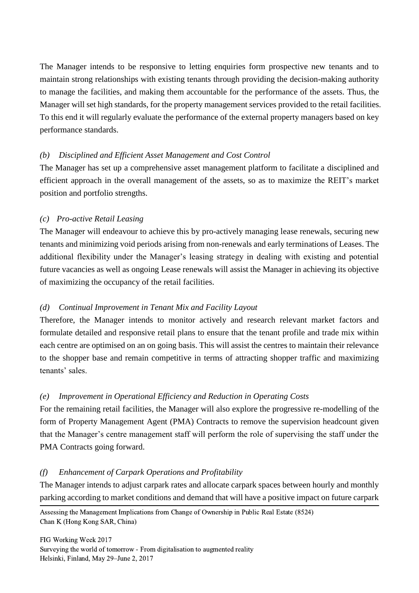The Manager intends to be responsive to letting enquiries form prospective new tenants and to maintain strong relationships with existing tenants through providing the decision-making authority to manage the facilities, and making them accountable for the performance of the assets. Thus, the Manager will set high standards, for the property management services provided to the retail facilities. To this end it will regularly evaluate the performance of the external property managers based on key performance standards.

#### *(b) Disciplined and Efficient Asset Management and Cost Control*

The Manager has set up a comprehensive asset management platform to facilitate a disciplined and efficient approach in the overall management of the assets, so as to maximize the REIT's market position and portfolio strengths.

## *(c) Pro-active Retail Leasing*

The Manager will endeavour to achieve this by pro-actively managing lease renewals, securing new tenants and minimizing void periods arising from non-renewals and early terminations of Leases. The additional flexibility under the Manager's leasing strategy in dealing with existing and potential future vacancies as well as ongoing Lease renewals will assist the Manager in achieving its objective of maximizing the occupancy of the retail facilities.

## *(d) Continual Improvement in Tenant Mix and Facility Layout*

Therefore, the Manager intends to monitor actively and research relevant market factors and formulate detailed and responsive retail plans to ensure that the tenant profile and trade mix within each centre are optimised on an on going basis. This will assist the centres to maintain their relevance to the shopper base and remain competitive in terms of attracting shopper traffic and maximizing tenants' sales.

## *(e) Improvement in Operational Efficiency and Reduction in Operating Costs*

For the remaining retail facilities, the Manager will also explore the progressive re-modelling of the form of Property Management Agent (PMA) Contracts to remove the supervision headcount given that the Manager's centre management staff will perform the role of supervising the staff under the PMA Contracts going forward.

#### *(f) Enhancement of Carpark Operations and Profitability*

The Manager intends to adjust carpark rates and allocate carpark spaces between hourly and monthly parking according to market conditions and demand that will have a positive impact on future carpark

 Assessing the Management Implications from Change of Ownership in Public Real Estate (8524) Chan K (Hong Kong SAR, China)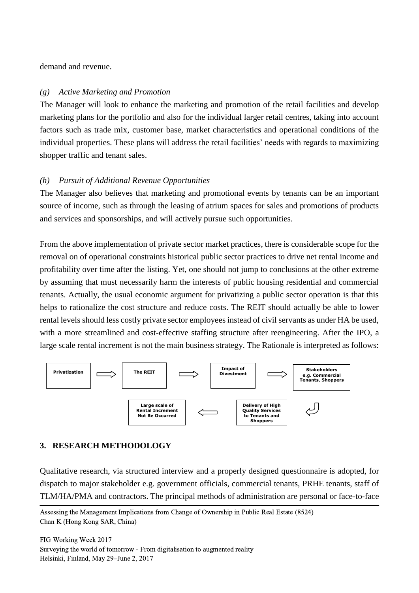demand and revenue.

#### *(g) Active Marketing and Promotion*

The Manager will look to enhance the marketing and promotion of the retail facilities and develop marketing plans for the portfolio and also for the individual larger retail centres, taking into account factors such as trade mix, customer base, market characteristics and operational conditions of the individual properties. These plans will address the retail facilities' needs with regards to maximizing shopper traffic and tenant sales.

## *(h) Pursuit of Additional Revenue Opportunities*

The Manager also believes that marketing and promotional events by tenants can be an important source of income, such as through the leasing of atrium spaces for sales and promotions of products and services and sponsorships, and will actively pursue such opportunities.

From the above implementation of private sector market practices, there is considerable scope for the removal on of operational constraints historical public sector practices to drive net rental income and profitability over time after the listing. Yet, one should not jump to conclusions at the other extreme by assuming that must necessarily harm the interests of public housing residential and commercial tenants. Actually, the usual economic argument for privatizing a public sector operation is that this helps to rationalize the cost structure and reduce costs. The REIT should actually be able to lower rental levels should less costly private sector employees instead of civil servants as under HA be used, with a more streamlined and cost-effective staffing structure after reengineering. After the IPO, a large scale rental increment is not the main business strategy. The Rationale is interpreted as follows:



## **3. RESEARCH METHODOLOGY**

Qualitative research, via structured interview and a properly designed questionnaire is adopted, for dispatch to major stakeholder e.g. government officials, commercial tenants, PRHE tenants, staff of TLM/HA/PMA and contractors. The principal methods of administration are personal or face-to-face

 Assessing the Management Implications from Change of Ownership in Public Real Estate (8524) Chan K (Hong Kong SAR, China)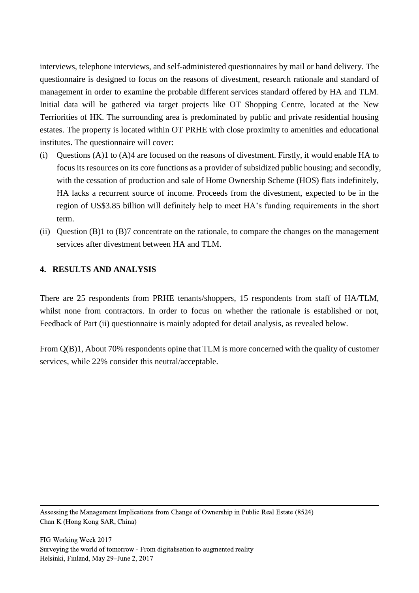interviews, telephone interviews, and self-administered questionnaires by mail or hand delivery. The questionnaire is designed to focus on the reasons of divestment, research rationale and standard of management in order to examine the probable different services standard offered by HA and TLM. Initial data will be gathered via target projects like OT Shopping Centre, located at the New Terriorities of HK. The surrounding area is predominated by public and private residential housing estates. The property is located within OT PRHE with close proximity to amenities and educational institutes. The questionnaire will cover:

- (i) Questions (A)1 to (A)4 are focused on the reasons of divestment. Firstly, it would enable HA to focus its resources on its core functions as a provider of subsidized public housing; and secondly, with the cessation of production and sale of Home Ownership Scheme (HOS) flats indefinitely, HA lacks a recurrent source of income. Proceeds from the divestment, expected to be in the region of US\$3.85 billion will definitely help to meet HA's funding requirements in the short term.
- (ii) Question (B)1 to (B)7 concentrate on the rationale, to compare the changes on the management services after divestment between HA and TLM.

## **4. RESULTS AND ANALYSIS**

There are 25 respondents from PRHE tenants/shoppers, 15 respondents from staff of HA/TLM, whilst none from contractors. In order to focus on whether the rationale is established or not, Feedback of Part (ii) questionnaire is mainly adopted for detail analysis, as revealed below.

From Q(B)1, About 70% respondents opine that TLM is more concerned with the quality of customer services, while 22% consider this neutral/acceptable.

 Assessing the Management Implications from Change of Ownership in Public Real Estate (8524) Chan K (Hong Kong SAR, China)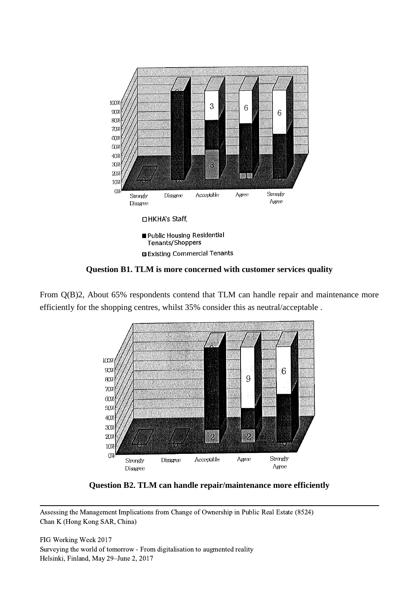

**Question B1. TLM is more concerned with customer services quality**

From Q(B)2, About 65% respondents contend that TLM can handle repair and maintenance more efficiently for the shopping centres, whilst 35% consider this as neutral/acceptable .



**Question B2. TLM can handle repair/maintenance more efficiently**

 Assessing the Management Implications from Change of Ownership in Public Real Estate (8524) Chan K (Hong Kong SAR, China)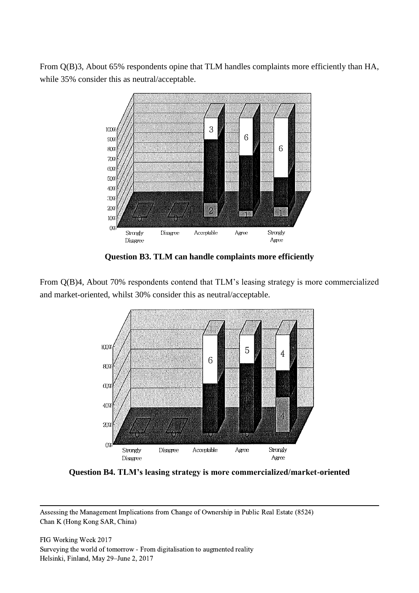From Q(B)3, About 65% respondents opine that TLM handles complaints more efficiently than HA, while 35% consider this as neutral/acceptable.



**Question B3. TLM can handle complaints more efficiently**

From Q(B)4, About 70% respondents contend that TLM's leasing strategy is more commercialized and market-oriented, whilst 30% consider this as neutral/acceptable.



**Question B4. TLM's leasing strategy is more commercialized/market-oriented** 

 Assessing the Management Implications from Change of Ownership in Public Real Estate (8524) Chan K (Hong Kong SAR, China)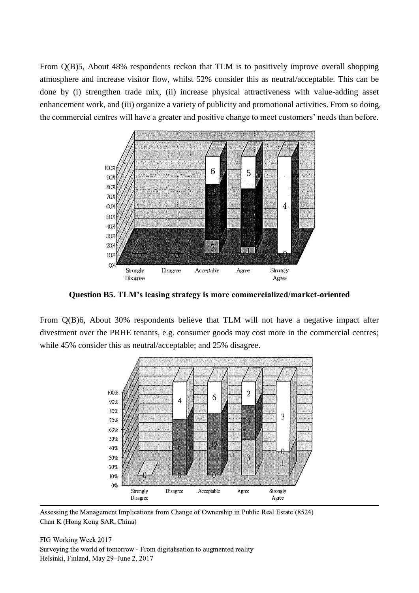From Q(B)5, About 48% respondents reckon that TLM is to positively improve overall shopping atmosphere and increase visitor flow, whilst 52% consider this as neutral/acceptable. This can be done by (i) strengthen trade mix, (ii) increase physical attractiveness with value-adding asset enhancement work, and (iii) organize a variety of publicity and promotional activities. From so doing, the commercial centres will have a greater and positive change to meet customers' needs than before.



**Question B5. TLM's leasing strategy is more commercialized/market-oriented** 

From Q(B)6, About 30% respondents believe that TLM will not have a negative impact after divestment over the PRHE tenants, e.g. consumer goods may cost more in the commercial centres; while 45% consider this as neutral/acceptable; and 25% disagree.



 Assessing the Management Implications from Change of Ownership in Public Real Estate (8524) Chan K (Hong Kong SAR, China)

FIG Working Week 2017 Surveying the world of tomorrow - From digitalisation to augmented reality Helsinki, Finland, May 29–June 2, 2017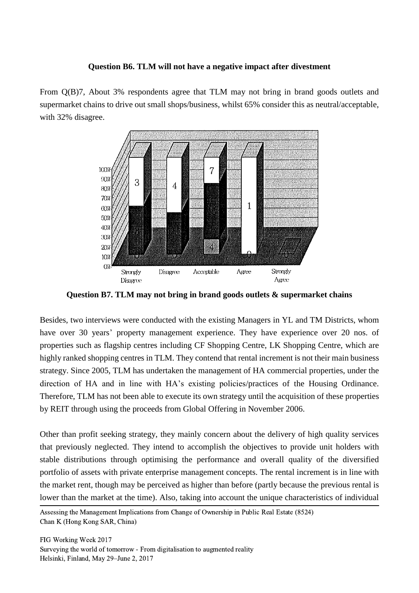#### **Question B6. TLM will not have a negative impact after divestment**

From Q(B)7, About 3% respondents agree that TLM may not bring in brand goods outlets and supermarket chains to drive out small shops/business, whilst 65% consider this as neutral/acceptable, with 32% disagree.



**Question B7. TLM may not bring in brand goods outlets & supermarket chains**

Besides, two interviews were conducted with the existing Managers in YL and TM Districts, whom have over 30 years' property management experience. They have experience over 20 nos. of properties such as flagship centres including CF Shopping Centre, LK Shopping Centre, which are highly ranked shopping centres in TLM. They contend that rental increment is not their main business strategy. Since 2005, TLM has undertaken the management of HA commercial properties, under the direction of HA and in line with HA's existing policies/practices of the Housing Ordinance. Therefore, TLM has not been able to execute its own strategy until the acquisition of these properties by REIT through using the proceeds from Global Offering in November 2006.

Other than profit seeking strategy, they mainly concern about the delivery of high quality services that previously neglected. They intend to accomplish the objectives to provide unit holders with stable distributions through optimising the performance and overall quality of the diversified portfolio of assets with private enterprise management concepts. The rental increment is in line with the market rent, though may be perceived as higher than before (partly because the previous rental is lower than the market at the time). Also, taking into account the unique characteristics of individual

 Assessing the Management Implications from Change of Ownership in Public Real Estate (8524) Chan K (Hong Kong SAR, China)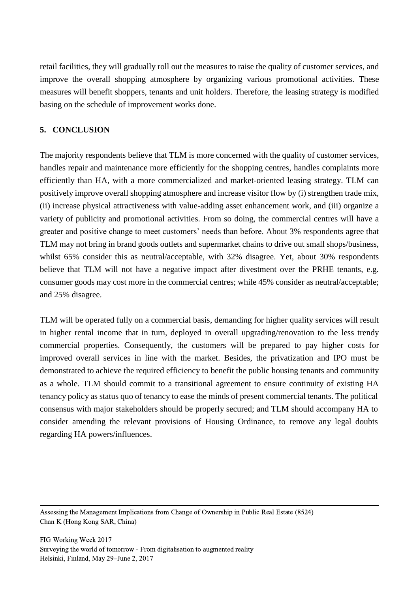retail facilities, they will gradually roll out the measures to raise the quality of customer services, and improve the overall shopping atmosphere by organizing various promotional activities. These measures will benefit shoppers, tenants and unit holders. Therefore, the leasing strategy is modified basing on the schedule of improvement works done.

## **5. CONCLUSION**

The majority respondents believe that TLM is more concerned with the quality of customer services, handles repair and maintenance more efficiently for the shopping centres, handles complaints more efficiently than HA, with a more commercialized and market-oriented leasing strategy. TLM can positively improve overall shopping atmosphere and increase visitor flow by (i) strengthen trade mix, (ii) increase physical attractiveness with value-adding asset enhancement work, and (iii) organize a variety of publicity and promotional activities. From so doing, the commercial centres will have a greater and positive change to meet customers' needs than before. About 3% respondents agree that TLM may not bring in brand goods outlets and supermarket chains to drive out small shops/business, whilst 65% consider this as neutral/acceptable, with 32% disagree. Yet, about 30% respondents believe that TLM will not have a negative impact after divestment over the PRHE tenants, e.g. consumer goods may cost more in the commercial centres; while 45% consider as neutral/acceptable; and 25% disagree.

TLM will be operated fully on a commercial basis, demanding for higher quality services will result in higher rental income that in turn, deployed in overall upgrading/renovation to the less trendy commercial properties. Consequently, the customers will be prepared to pay higher costs for improved overall services in line with the market. Besides, the privatization and IPO must be demonstrated to achieve the required efficiency to benefit the public housing tenants and community as a whole. TLM should commit to a transitional agreement to ensure continuity of existing HA tenancy policy as status quo of tenancy to ease the minds of present commercial tenants. The political consensus with major stakeholders should be properly secured; and TLM should accompany HA to consider amending the relevant provisions of Housing Ordinance, to remove any legal doubts regarding HA powers/influences.

 Assessing the Management Implications from Change of Ownership in Public Real Estate (8524) Chan K (Hong Kong SAR, China)